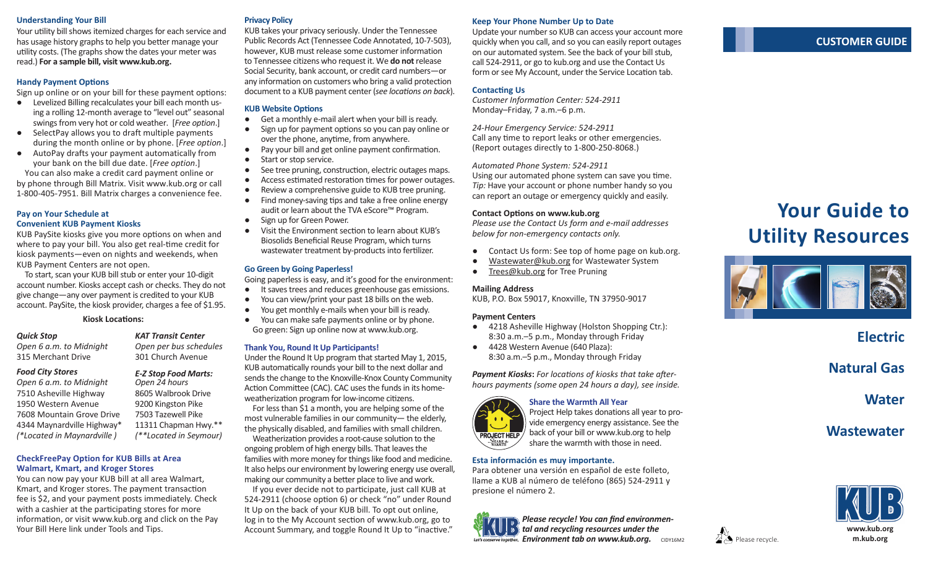#### **Understanding Your Bill Privacy Policy**

Your utility bill shows itemized charges for each service and has usage history graphs to help you better manage your utility costs. (The graphs show the dates your meter was read.) **For a sample bill, visit www.kub.org.** 

#### **Handy Payment Options**

Sign up online or on your bill for these payment options:

- Levelized Billing recalculates your bill each month using a rolling 12-month average to "level out" seasonal swings from very hot or cold weather. [*Free option*.]
- SelectPay allows you to draft multiple payments during the month online or by phone. [*Free option*.]
- AutoPay drafts your payment automatically from your bank on the bill due date. [*Free option*.] You can also make a credit card payment online or

by phone through Bill Matrix. Visit www.kub.org or call 1-800-405-7951. Bill Matrix charges a convenience fee.

#### **Pay on Your Schedule at Convenient KUB Payment Kiosks**

KUB PaySite kiosks give you more options on when and where to pay your bill. You also get real-time credit for kiosk payments—even on nights and weekends, when KUB Payment Centers are not open.

To start, scan your KUB bill stub or enter your 10-digit account number. Kiosks accept cash or checks. They do not give change—any over payment is credited to your KUB account. PaySite, the kiosk provider, charges a fee of \$1.95.

#### **Kiosk Locations:**

## *Quick Stop*

*Open 6 a.m. to Midnight* 315 Merchant Drive

#### *Food City Stores*

*Open 6 a.m. to Midnight* 7510 Asheville Highway 1950 Western Avenue 7608 Mountain Grove Drive 4344 Maynardville Highway\* *(\*Located in Maynardville )*

## *KAT Transit Center*

*Open per bus schedules* 301 Church Avenue

*E-Z Stop Food Marts: Open 24 hours*

8605 Walbrook Drive 9200 Kingston Pike 7503 Tazewell Pike 11311 Chapman Hwy.\*\* *(\*\*Located in Seymour)*

#### **CheckFreePay Option for KUB Bills at Area Walmart, Kmart, and Kroger Stores**

You can now pay your KUB bill at all area Walmart, Kmart, and Kroger stores. The payment transaction fee is \$2, and your payment posts immediately. Check with a cashier at the participating stores for more information, or visit www.kub.org and click on the Pay Your Bill Here link under Tools and Tips.

KUB takes your privacy seriously. Under the Tennessee Public Records Act (Tennessee Code Annotated, 10-7-503), however, KUB must release some customer information to Tennessee citizens who request it. We **do not** release Social Security, bank account, or credit card numbers—or any information on customers who bring a valid protection document to a KUB payment center (*see locations on back*).

#### **KUB Website Options**

- Get a monthly e-mail alert when your bill is ready.
- Sign up for payment options so you can pay online or over the phone, anytime, from anywhere.
- Pay your bill and get online payment confirmation.
- Start or stop service.
- See tree pruning, construction, electric outages maps.
- Access estimated restoration times for power outages.
- Review a comprehensive guide to KUB tree pruning.
- Find money-saving tips and take a free online energy audit or learn about the TVA eScore™ Program.
- Sign up for Green Power. Visit the Environment section to learn about KUB's
- Biosolids Beneficial Reuse Program, which turns wastewater treatment by-products into fertilizer.

#### **Go Green by Going Paperless!**

Going paperless is easy, and it's good for the environment:

- It saves trees and reduces greenhouse gas emissions.
- You can view/print your past 18 bills on the web.
- You get monthly e-mails when your bill is ready.
- You can make safe payments online or by phone. Go green: Sign up online now at www.kub.org.

#### **Thank You, Round It Up Participants!**

Under the Round It Up program that started May 1, 2015, KUB automatically rounds your bill to the next dollar and sends the change to the Knoxville-Knox County Community Action Committee (CAC). CAC uses the funds in its homeweatherization program for low-income citizens.

For less than \$1 a month, you are helping some of the most vulnerable families in our community— the elderly, the physically disabled, and families with small children. Weatherization provides a root-cause solution to the

ongoing problem of high energy bills. That leaves the families with more money for things like food and medicine. It also helps our environment by lowering energy use overall, making our community a better place to live and work.

If you ever decide not to participate, just call KUB at 524-2911 (choose option 6) or check "no" under Round It Up on the back of your KUB bill. To opt out online, log in to the My Account section of www.kub.org, go to Account Summary, and toggle Round It Up to "inactive."

#### **Keep Your Phone Number Up to Date**

Update your number so KUB can access your account more quickly when you call, and so you can easily report outages on our automated system. See the back of your bill stub, call 524-2911, or go to kub.org and use the Contact Us form or see My Account, under the Service Location tab.

#### **Contacting Us**

*Customer Information Center: 524-2911* Monday–Friday, 7 a.m.–6 p.m.

*24-Hour Emergency Service: 524-2911* Call any time to report leaks or other emergencies. (Report outages directly to 1-800-250-8068.)

#### *Automated Phone System: 524-2911*

Using our automated phone system can save you time. *Tip:* Have your account or phone number handy so you can report an outage or emergency quickly and easily.

#### **Contact Options on www.kub.org**

*Please use the Contact Us form and e-mail addresses below for non-emergency contacts only.*

- Contact Us form: See top of home page on kub.org.
- Wastewater@kub.org for Wastewater System
- Trees@kub.org for Tree Pruning

#### **Mailing Address**

KUB, P.O. Box 59017, Knoxville, TN 37950-9017

#### **Payment Centers**

- 4218 Asheville Highway (Holston Shopping Ctr.): 8:30 a.m.–5 p.m., Monday through Friday
- 4428 Western Avenue (640 Plaza): 8:30 a.m.–5 p.m., Monday through Friday

*Payment Kiosks***:** *For locations of kiosks that take afterhours payments (some open 24 hours a day), see inside.*



**Share the Warmth All Year** Project Help takes donations all year to provide emergency energy assistance. See the back of your bill or www.kub.org to help share the warmth with those in need.

#### **Esta información es muy importante.**

Para obtener una versión en español de este folleto, llame a KUB al número de teléfono (865) 524-2911 y presione el número 2.



**Environment tab on www.kub.org.** CIDY16M2  $\mathbb{Z}$  Please recycle. *Please recycle! You can find environmental and recycling resources under the* 





**Electric**

**Natural Gas**

**Water** 

**Wastewater**



### **CUSTOMER GUIDE**